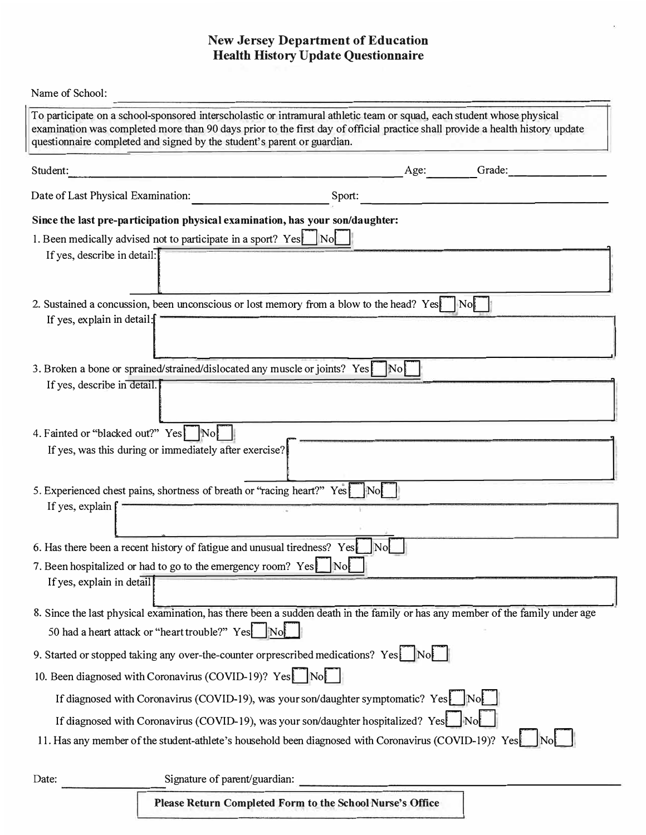## **New Jersey Department of Education Health History Update Questionnaire**

| Name of School:                                                                                                                                                                                                                                                                                                                    |
|------------------------------------------------------------------------------------------------------------------------------------------------------------------------------------------------------------------------------------------------------------------------------------------------------------------------------------|
| To participate on a school-sponsored interscholastic or intramural athletic team or squad, each student whose physical<br>examination was completed more than 90 days prior to the first day of official practice shall provide a health history update<br>questionnaire completed and signed by the student's parent or guardian. |
| Grade:<br>Student:<br>Age:                                                                                                                                                                                                                                                                                                         |
| Date of Last Physical Examination:<br>Sport:                                                                                                                                                                                                                                                                                       |
| Since the last pre-participation physical examination, has your son/daughter:                                                                                                                                                                                                                                                      |
| 1. Been medically advised not to participate in a sport? Yes No                                                                                                                                                                                                                                                                    |
| If yes, describe in detail:                                                                                                                                                                                                                                                                                                        |
| 2. Sustained a concussion, been unconscious or lost memory from a blow to the head? Yes<br>$\vert$ No $\vert$<br>If yes, explain in detail:                                                                                                                                                                                        |
| 3. Broken a bone or sprained/strained/dislocated any muscle or joints? Yes<br>$\vert$ No $\vert$<br>If yes, describe in detail.                                                                                                                                                                                                    |
| 4. Fainted or "blacked out?" Yes No<br>If yes, was this during or immediately after exercise?                                                                                                                                                                                                                                      |
| 5. Experienced chest pains, shortness of breath or "racing heart?" Yes<br>$\parallel$ No $\parallel$<br>If yes, explain                                                                                                                                                                                                            |
| 6. Has there been a recent history of fatigue and unusual tiredness? Yes<br> No                                                                                                                                                                                                                                                    |
| 7. Been hospitalized or had to go to the emergency room? Yes<br>$\vert \text{No} \vert$<br>If yes, explain in detail                                                                                                                                                                                                               |
| 8. Since the last physical examination, has there been a sudden death in the family or has any member of the family under age                                                                                                                                                                                                      |
| 50 had a heart attack or "heart trouble?" Yes                                                                                                                                                                                                                                                                                      |
| 9. Started or stopped taking any over-the-counter or prescribed medications? Yes No                                                                                                                                                                                                                                                |
| 10. Been diagnosed with Coronavirus (COVID-19)? Yes No                                                                                                                                                                                                                                                                             |
| If diagnosed with Coronavirus (COVID-19), was your son/daughter symptomatic? Yes Not                                                                                                                                                                                                                                               |
| If diagnosed with Coronavirus (COVID-19), was your son/daughter hospitalized? Yes<br>$\parallel$ No $\parallel$<br>11. Has any member of the student-athlete's household been diagnosed with Coronavirus (COVID-19)? Yes                                                                                                           |
| Signature of parent/guardian:<br>Date:                                                                                                                                                                                                                                                                                             |

**Please Return Completed Form to the School Nurse's Office**